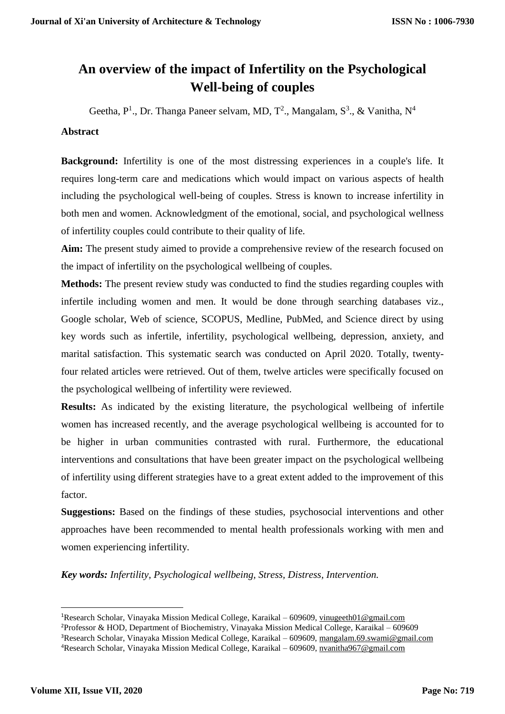# **An overview of the impact of Infertility on the Psychological Well-being of couples**

Geetha,  $P^1$ ., Dr. Thanga Paneer selvam, MD, T<sup>2</sup>., Mangalam, S<sup>3</sup>., & Vanitha, N<sup>4</sup>

# **Abstract**

**Background:** Infertility is one of the most distressing experiences in a couple's life. It requires long-term care and medications which would impact on various aspects of health including the psychological well-being of couples. Stress is known to increase infertility in both men and women. Acknowledgment of the emotional, social, and psychological wellness of infertility couples could contribute to their quality of life.

**Aim:** The present study aimed to provide a comprehensive review of the research focused on the impact of infertility on the psychological wellbeing of couples.

**Methods:** The present review study was conducted to find the studies regarding couples with infertile including women and men. It would be done through searching databases viz., Google scholar, Web of science, SCOPUS, Medline, PubMed, and Science direct by using key words such as infertile, infertility, psychological wellbeing, depression, anxiety, and marital satisfaction. This systematic search was conducted on April 2020. Totally, twentyfour related articles were retrieved. Out of them, twelve articles were specifically focused on the psychological wellbeing of infertility were reviewed.

**Results:** As indicated by the existing literature, the psychological wellbeing of infertile women has increased recently, and the average psychological wellbeing is accounted for to be higher in urban communities contrasted with rural. Furthermore, the educational interventions and consultations that have been greater impact on the psychological wellbeing of infertility using different strategies have to a great extent added to the improvement of this factor.

**Suggestions:** Based on the findings of these studies, psychosocial interventions and other approaches have been recommended to mental health professionals working with men and women experiencing infertility.

*Key words: Infertility, Psychological wellbeing, Stress, Distress, Intervention.*

**.** 

<sup>1</sup>Research Scholar, Vinayaka Mission Medical College, Karaikal – 609609, [vinugeeth01@gmail.com](mailto:vinugeeth01@gmail.com) <sup>2</sup>Professor & HOD, Department of Biochemistry, Vinayaka Mission Medical College, Karaikal – 609609 <sup>3</sup>Research Scholar, Vinayaka Mission Medical College, Karaikal – 609609, [mangalam.69.swami@gmail.com](mailto:mangalam.69.swami@gmail.com)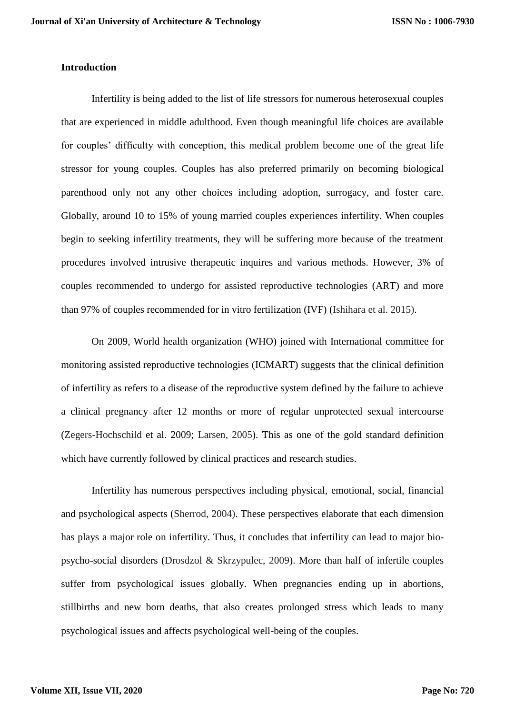# **Introduction**

Infertility is being added to the list of life stressors for numerous heterosexual couples that are experienced in middle adulthood. Even though meaningful life choices are available for couples' difficulty with conception, this medical problem become one of the great life stressor for young couples. Couples has also preferred primarily on becoming biological parenthood only not any other choices including adoption, surrogacy, and foster care. Globally, around 10 to 15% of young married couples experiences infertility. When couples begin to seeking infertility treatments, they will be suffering more because of the treatment procedures involved intrusive therapeutic inquires and various methods. However, 3% of couples recommended to undergo for assisted reproductive technologies (ART) and more than 97% of couples recommended for in vitro fertilization (IVF) (Ishihara et al. 2015).

On 2009, World health organization (WHO) joined with International committee for monitoring assisted reproductive technologies (ICMART) suggests that the clinical definition of infertility as refers to a disease of the reproductive system defined by the failure to achieve a clinical pregnancy after 12 months or more of regular unprotected sexual intercourse (Zegers-Hochschild et al. 2009; Larsen, 2005). This as one of the gold standard definition which have currently followed by clinical practices and research studies.

Infertility has numerous perspectives including physical, emotional, social, financial and psychological aspects (Sherrod, 2004). These perspectives elaborate that each dimension has plays a major role on infertility. Thus, it concludes that infertility can lead to major biopsycho-social disorders (Drosdzol & Skrzypulec, 2009). More than half of infertile couples suffer from psychological issues globally. When pregnancies ending up in abortions, stillbirths and new born deaths, that also creates prolonged stress which leads to many psychological issues and affects psychological well-being of the couples.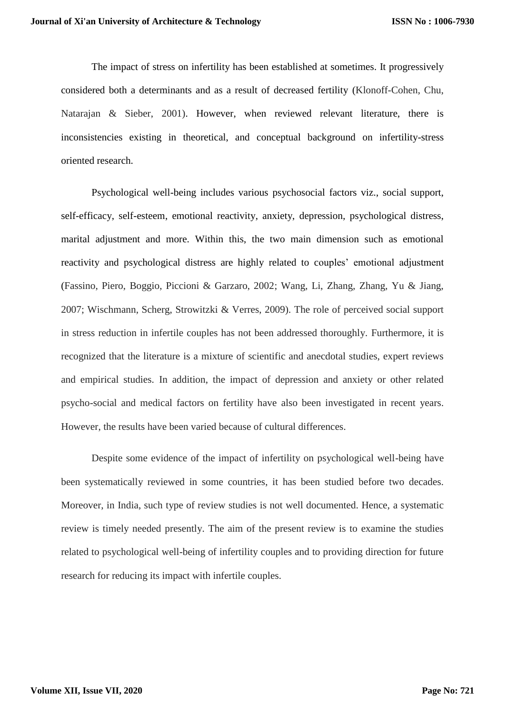The impact of stress on infertility has been established at sometimes. It progressively considered both a determinants and as a result of decreased fertility (Klonoff-Cohen, Chu, Natarajan & Sieber, 2001). However, when reviewed relevant literature, there is inconsistencies existing in theoretical, and conceptual background on infertility-stress oriented research.

Psychological well-being includes various psychosocial factors viz., social support, self-efficacy, self-esteem, emotional reactivity, anxiety, depression, psychological distress, marital adjustment and more. Within this, the two main dimension such as emotional reactivity and psychological distress are highly related to couples' emotional adjustment (Fassino, Piero, Boggio, Piccioni & Garzaro, 2002; Wang, Li, Zhang, Zhang, Yu & Jiang, 2007; Wischmann, Scherg, Strowitzki & Verres, 2009). The role of perceived social support in stress reduction in infertile couples has not been addressed thoroughly. Furthermore, it is recognized that the literature is a mixture of scientific and anecdotal studies, expert reviews and empirical studies. In addition, the impact of depression and anxiety or other related psycho-social and medical factors on fertility have also been investigated in recent years. However, the results have been varied because of cultural differences.

Despite some evidence of the impact of infertility on psychological well-being have been systematically reviewed in some countries, it has been studied before two decades. Moreover, in India, such type of review studies is not well documented. Hence, a systematic review is timely needed presently. The aim of the present review is to examine the studies related to psychological well-being of infertility couples and to providing direction for future research for reducing its impact with infertile couples.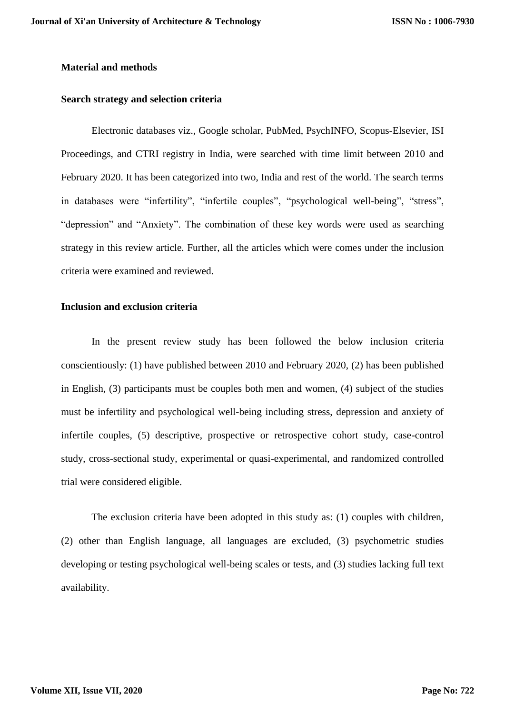## **Material and methods**

#### **Search strategy and selection criteria**

Electronic databases viz., Google scholar, PubMed, PsychINFO, Scopus-Elsevier, ISI Proceedings, and CTRI registry in India, were searched with time limit between 2010 and February 2020. It has been categorized into two, India and rest of the world. The search terms in databases were "infertility", "infertile couples", "psychological well-being", "stress", "depression" and "Anxiety". The combination of these key words were used as searching strategy in this review article. Further, all the articles which were comes under the inclusion criteria were examined and reviewed.

### **Inclusion and exclusion criteria**

In the present review study has been followed the below inclusion criteria conscientiously: (1) have published between 2010 and February 2020, (2) has been published in English, (3) participants must be couples both men and women, (4) subject of the studies must be infertility and psychological well-being including stress, depression and anxiety of infertile couples, (5) descriptive, prospective or retrospective cohort study, case-control study, cross-sectional study, experimental or quasi-experimental, and randomized controlled trial were considered eligible.

The exclusion criteria have been adopted in this study as: (1) couples with children, (2) other than English language, all languages are excluded, (3) psychometric studies developing or testing psychological well-being scales or tests, and (3) studies lacking full text availability.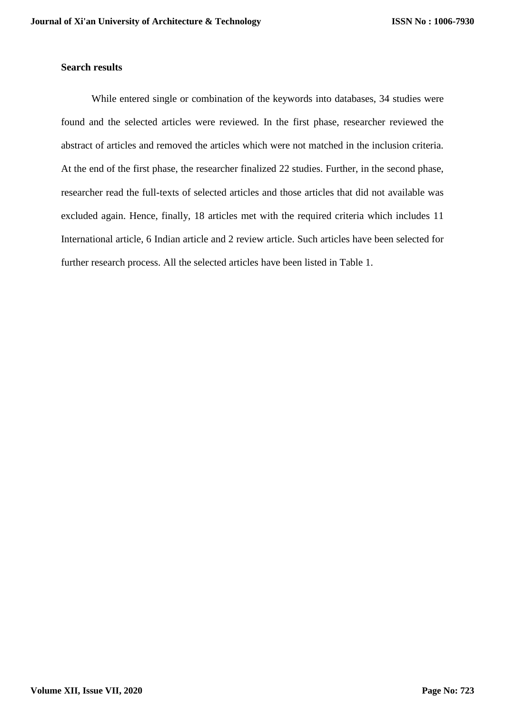# **Search results**

While entered single or combination of the keywords into databases, 34 studies were found and the selected articles were reviewed. In the first phase, researcher reviewed the abstract of articles and removed the articles which were not matched in the inclusion criteria. At the end of the first phase, the researcher finalized 22 studies. Further, in the second phase, researcher read the full-texts of selected articles and those articles that did not available was excluded again. Hence, finally, 18 articles met with the required criteria which includes 11 International article, 6 Indian article and 2 review article. Such articles have been selected for further research process. All the selected articles have been listed in Table 1.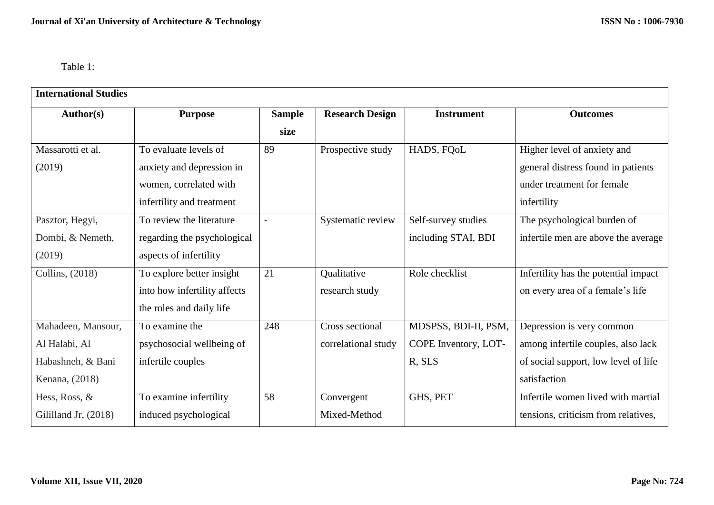Table 1:

| <b>International Studies</b> |                              |                |                        |                      |                                      |
|------------------------------|------------------------------|----------------|------------------------|----------------------|--------------------------------------|
| Author(s)                    | <b>Purpose</b>               | <b>Sample</b>  | <b>Research Design</b> | <b>Instrument</b>    | <b>Outcomes</b>                      |
|                              |                              | size           |                        |                      |                                      |
| Massarotti et al.            | To evaluate levels of        | 89             | Prospective study      | HADS, FQoL           | Higher level of anxiety and          |
| (2019)                       | anxiety and depression in    |                |                        |                      | general distress found in patients   |
|                              | women, correlated with       |                |                        |                      | under treatment for female           |
|                              | infertility and treatment    |                |                        |                      | infertility                          |
| Pasztor, Hegyi,              | To review the literature     | $\overline{a}$ | Systematic review      | Self-survey studies  | The psychological burden of          |
| Dombi, & Nemeth,             | regarding the psychological  |                |                        | including STAI, BDI  | infertile men are above the average  |
| (2019)                       | aspects of infertility       |                |                        |                      |                                      |
| Collins, (2018)              | To explore better insight    | 21             | Qualitative            | Role checklist       | Infertility has the potential impact |
|                              | into how infertility affects |                | research study         |                      | on every area of a female's life     |
|                              | the roles and daily life     |                |                        |                      |                                      |
| Mahadeen, Mansour,           | To examine the               | 248            | Cross sectional        | MDSPSS, BDI-II, PSM, | Depression is very common            |
| Al Halabi, Al                | psychosocial wellbeing of    |                | correlational study    | COPE Inventory, LOT- | among infertile couples, also lack   |
| Habashneh, & Bani            | infertile couples            |                |                        | R, SLS               | of social support, low level of life |
| Kenana, (2018)               |                              |                |                        |                      | satisfaction                         |
| Hess, Ross, &                | To examine infertility       | 58             | Convergent             | GHS, PET             | Infertile women lived with martial   |
| Gililland Jr, (2018)         | induced psychological        |                | Mixed-Method           |                      | tensions, criticism from relatives,  |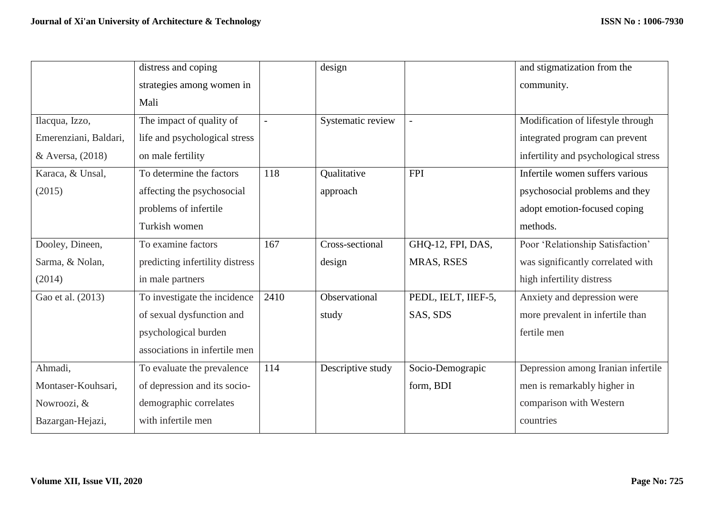|                       | distress and coping             |                | design            |                     | and stigmatization from the          |
|-----------------------|---------------------------------|----------------|-------------------|---------------------|--------------------------------------|
|                       | strategies among women in       |                |                   |                     | community.                           |
|                       | Mali                            |                |                   |                     |                                      |
| Ilacqua, Izzo,        | The impact of quality of        | $\blacksquare$ | Systematic review |                     | Modification of lifestyle through    |
| Emerenziani, Baldari, | life and psychological stress   |                |                   |                     | integrated program can prevent       |
| & Aversa, (2018)      | on male fertility               |                |                   |                     | infertility and psychological stress |
| Karaca, & Unsal,      | To determine the factors        | 118            | Qualitative       | <b>FPI</b>          | Infertile women suffers various      |
| (2015)                | affecting the psychosocial      |                | approach          |                     | psychosocial problems and they       |
|                       | problems of infertile           |                |                   |                     | adopt emotion-focused coping         |
|                       | Turkish women                   |                |                   |                     | methods.                             |
| Dooley, Dineen,       | To examine factors              | 167            | Cross-sectional   | GHQ-12, FPI, DAS,   | Poor 'Relationship Satisfaction'     |
| Sarma, & Nolan,       | predicting infertility distress |                | design            | MRAS, RSES          | was significantly correlated with    |
| (2014)                | in male partners                |                |                   |                     | high infertility distress            |
| Gao et al. (2013)     | To investigate the incidence    | 2410           | Observational     | PEDL, IELT, IIEF-5, | Anxiety and depression were          |
|                       | of sexual dysfunction and       |                | study             | SAS, SDS            | more prevalent in infertile than     |
|                       | psychological burden            |                |                   |                     | fertile men                          |
|                       | associations in infertile men   |                |                   |                     |                                      |
| Ahmadi,               | To evaluate the prevalence      | 114            | Descriptive study | Socio-Demograpic    | Depression among Iranian infertile   |
| Montaser-Kouhsari,    | of depression and its socio-    |                |                   | form, BDI           | men is remarkably higher in          |
| Nowroozi, &           | demographic correlates          |                |                   |                     | comparison with Western              |
| Bazargan-Hejazi,      | with infertile men              |                |                   |                     | countries                            |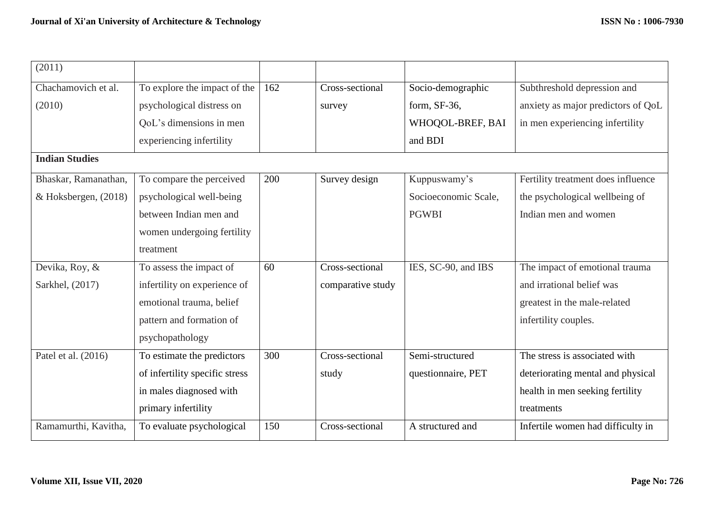| (2011)                |                                |     |                   |                      |                                    |
|-----------------------|--------------------------------|-----|-------------------|----------------------|------------------------------------|
| Chachamovich et al.   | To explore the impact of the   | 162 | Cross-sectional   | Socio-demographic    | Subthreshold depression and        |
| (2010)                | psychological distress on      |     | survey            | form, SF-36,         | anxiety as major predictors of QoL |
|                       | QoL's dimensions in men        |     |                   | WHOQOL-BREF, BAI     | in men experiencing infertility    |
|                       | experiencing infertility       |     |                   | and BDI              |                                    |
| <b>Indian Studies</b> |                                |     |                   |                      |                                    |
| Bhaskar, Ramanathan,  | To compare the perceived       | 200 | Survey design     | Kuppuswamy's         | Fertility treatment does influence |
| & Hoksbergen, (2018)  | psychological well-being       |     |                   | Socioeconomic Scale, | the psychological wellbeing of     |
|                       | between Indian men and         |     |                   | <b>PGWBI</b>         | Indian men and women               |
|                       | women undergoing fertility     |     |                   |                      |                                    |
|                       | treatment                      |     |                   |                      |                                    |
| Devika, Roy, &        | To assess the impact of        | 60  | Cross-sectional   | IES, SC-90, and IBS  | The impact of emotional trauma     |
| Sarkhel, (2017)       | infertility on experience of   |     | comparative study |                      | and irrational belief was          |
|                       | emotional trauma, belief       |     |                   |                      | greatest in the male-related       |
|                       | pattern and formation of       |     |                   |                      | infertility couples.               |
|                       | psychopathology                |     |                   |                      |                                    |
| Patel et al. (2016)   | To estimate the predictors     | 300 | Cross-sectional   | Semi-structured      | The stress is associated with      |
|                       | of infertility specific stress |     | study             | questionnaire, PET   | deteriorating mental and physical  |
|                       | in males diagnosed with        |     |                   |                      | health in men seeking fertility    |
|                       | primary infertility            |     |                   |                      | treatments                         |
| Ramamurthi, Kavitha,  | To evaluate psychological      | 150 | Cross-sectional   | A structured and     | Infertile women had difficulty in  |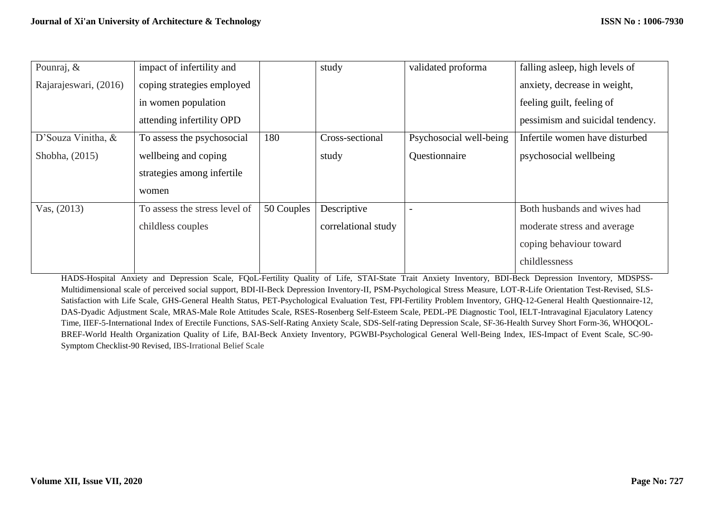| Pounraj, &            | impact of infertility and     |            | study               | validated proforma      | falling asleep, high levels of   |
|-----------------------|-------------------------------|------------|---------------------|-------------------------|----------------------------------|
| Rajarajeswari, (2016) | coping strategies employed    |            |                     |                         | anxiety, decrease in weight,     |
|                       | in women population           |            |                     |                         | feeling guilt, feeling of        |
|                       | attending infertility OPD     |            |                     |                         | pessimism and suicidal tendency. |
| D'Souza Vinitha, &    | To assess the psychosocial    | 180        | Cross-sectional     | Psychosocial well-being | Infertile women have disturbed   |
| Shobha, (2015)        | wellbeing and coping          |            | study               | Questionnaire           | psychosocial wellbeing           |
|                       | strategies among infertile    |            |                     |                         |                                  |
|                       | women                         |            |                     |                         |                                  |
| Vas, $(2013)$         | To assess the stress level of | 50 Couples | Descriptive         |                         | Both husbands and wives had      |
|                       | childless couples             |            | correlational study |                         | moderate stress and average      |
|                       |                               |            |                     |                         | coping behaviour toward          |
|                       |                               |            |                     |                         | childlessness                    |

HADS-Hospital Anxiety and Depression Scale, FQoL-Fertility Quality of Life, STAI-State Trait Anxiety Inventory, BDI-Beck Depression Inventory, MDSPSS-Multidimensional scale of perceived social support, BDI-II-Beck Depression Inventory-II, PSM-Psychological Stress Measure, LOT-R-Life Orientation Test-Revised, SLS-Satisfaction with Life Scale, GHS-General Health Status, PET-Psychological Evaluation Test, FPI-Fertility Problem Inventory, GHQ-12-General Health Questionnaire-12, DAS-Dyadic Adjustment Scale, MRAS-Male Role Attitudes Scale, RSES-Rosenberg Self-Esteem Scale, PEDL-PE Diagnostic Tool, IELT-Intravaginal Ejaculatory Latency Time, IIEF-5-International Index of Erectile Functions, SAS-Self-Rating Anxiety Scale, SDS-Self-rating Depression Scale, SF-36-Health Survey Short Form-36, WHOQOL-BREF-World Health Organization Quality of Life, BAI-Beck Anxiety Inventory, PGWBI-Psychological General Well-Being Index, IES-Impact of Event Scale, SC-90- Symptom Checklist-90 Revised, IBS-Irrational Belief Scale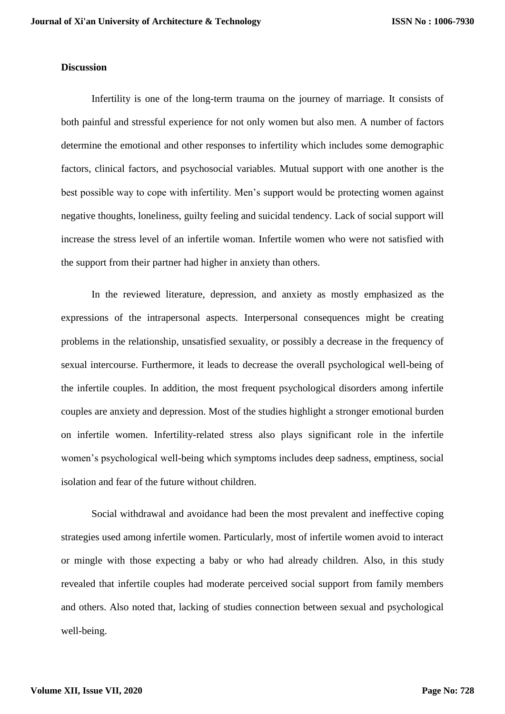#### **Discussion**

Infertility is one of the long-term trauma on the journey of marriage. It consists of both painful and stressful experience for not only women but also men. A number of factors determine the emotional and other responses to infertility which includes some demographic factors, clinical factors, and psychosocial variables. Mutual support with one another is the best possible way to cope with infertility. Men's support would be protecting women against negative thoughts, loneliness, guilty feeling and suicidal tendency. Lack of social support will increase the stress level of an infertile woman. Infertile women who were not satisfied with the support from their partner had higher in anxiety than others.

In the reviewed literature, depression, and anxiety as mostly emphasized as the expressions of the intrapersonal aspects. Interpersonal consequences might be creating problems in the relationship, unsatisfied sexuality, or possibly a decrease in the frequency of sexual intercourse. Furthermore, it leads to decrease the overall psychological well-being of the infertile couples. In addition, the most frequent psychological disorders among infertile couples are anxiety and depression. Most of the studies highlight a stronger emotional burden on infertile women. Infertility-related stress also plays significant role in the infertile women's psychological well-being which symptoms includes deep sadness, emptiness, social isolation and fear of the future without children.

Social withdrawal and avoidance had been the most prevalent and ineffective coping strategies used among infertile women. Particularly, most of infertile women avoid to interact or mingle with those expecting a baby or who had already children. Also, in this study revealed that infertile couples had moderate perceived social support from family members and others. Also noted that, lacking of studies connection between sexual and psychological well-being.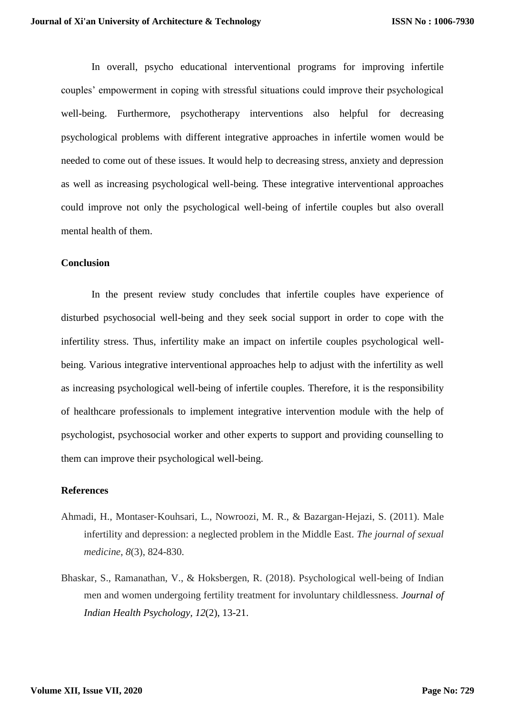In overall, psycho educational interventional programs for improving infertile couples' empowerment in coping with stressful situations could improve their psychological well-being. Furthermore, psychotherapy interventions also helpful for decreasing psychological problems with different integrative approaches in infertile women would be needed to come out of these issues. It would help to decreasing stress, anxiety and depression as well as increasing psychological well-being. These integrative interventional approaches could improve not only the psychological well-being of infertile couples but also overall mental health of them.

#### **Conclusion**

In the present review study concludes that infertile couples have experience of disturbed psychosocial well-being and they seek social support in order to cope with the infertility stress. Thus, infertility make an impact on infertile couples psychological wellbeing. Various integrative interventional approaches help to adjust with the infertility as well as increasing psychological well-being of infertile couples. Therefore, it is the responsibility of healthcare professionals to implement integrative intervention module with the help of psychologist, psychosocial worker and other experts to support and providing counselling to them can improve their psychological well-being.

# **References**

- Ahmadi, H., Montaser‐Kouhsari, L., Nowroozi, M. R., & Bazargan‐Hejazi, S. (2011). Male infertility and depression: a neglected problem in the Middle East. *The journal of sexual medicine*, *8*(3), 824-830.
- Bhaskar, S., Ramanathan, V., & Hoksbergen, R. (2018). Psychological well-being of Indian men and women undergoing fertility treatment for involuntary childlessness. *Journal of Indian Health Psychology, 12*(2), 13-21.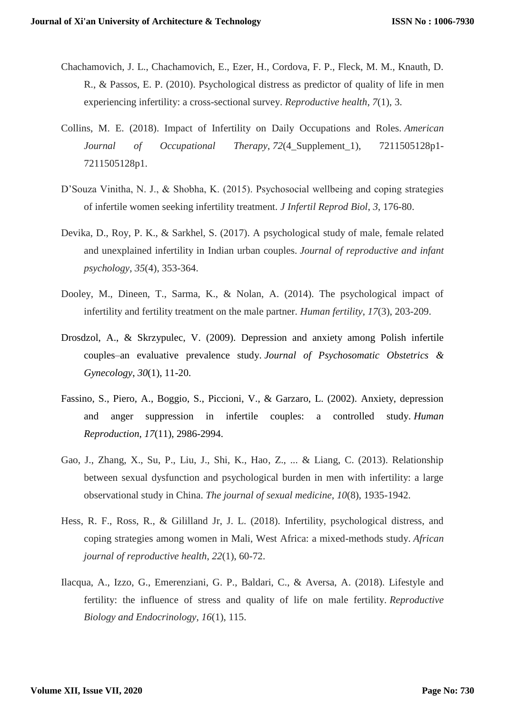- Chachamovich, J. L., Chachamovich, E., Ezer, H., Cordova, F. P., Fleck, M. M., Knauth, D. R., & Passos, E. P. (2010). Psychological distress as predictor of quality of life in men experiencing infertility: a cross-sectional survey. *Reproductive health*, *7*(1), 3.
- Collins, M. E. (2018). Impact of Infertility on Daily Occupations and Roles. *American Journal of Occupational Therapy*, *72*(4\_Supplement\_1), 7211505128p1- 7211505128p1.
- D'Souza Vinitha, N. J., & Shobha, K. (2015). Psychosocial wellbeing and coping strategies of infertile women seeking infertility treatment. *J Infertil Reprod Biol*, *3*, 176-80.
- Devika, D., Roy, P. K., & Sarkhel, S. (2017). A psychological study of male, female related and unexplained infertility in Indian urban couples. *Journal of reproductive and infant psychology*, *35*(4), 353-364.
- Dooley, M., Dineen, T., Sarma, K., & Nolan, A. (2014). The psychological impact of infertility and fertility treatment on the male partner. *Human fertility*, *17*(3), 203-209.
- Drosdzol, A., & Skrzypulec, V. (2009). Depression and anxiety among Polish infertile couples–an evaluative prevalence study. *Journal of Psychosomatic Obstetrics & Gynecology*, *30*(1), 11-20.
- Fassino, S., Piero, A., Boggio, S., Piccioni, V., & Garzaro, L. (2002). Anxiety, depression and anger suppression in infertile couples: a controlled study. *Human Reproduction*, *17*(11), 2986-2994.
- Gao, J., Zhang, X., Su, P., Liu, J., Shi, K., Hao, Z., ... & Liang, C. (2013). Relationship between sexual dysfunction and psychological burden in men with infertility: a large observational study in China. *The journal of sexual medicine*, *10*(8), 1935-1942.
- Hess, R. F., Ross, R., & Gililland Jr, J. L. (2018). Infertility, psychological distress, and coping strategies among women in Mali, West Africa: a mixed-methods study. *African journal of reproductive health*, *22*(1), 60-72.
- Ilacqua, A., Izzo, G., Emerenziani, G. P., Baldari, C., & Aversa, A. (2018). Lifestyle and fertility: the influence of stress and quality of life on male fertility. *Reproductive Biology and Endocrinology*, *16*(1), 115.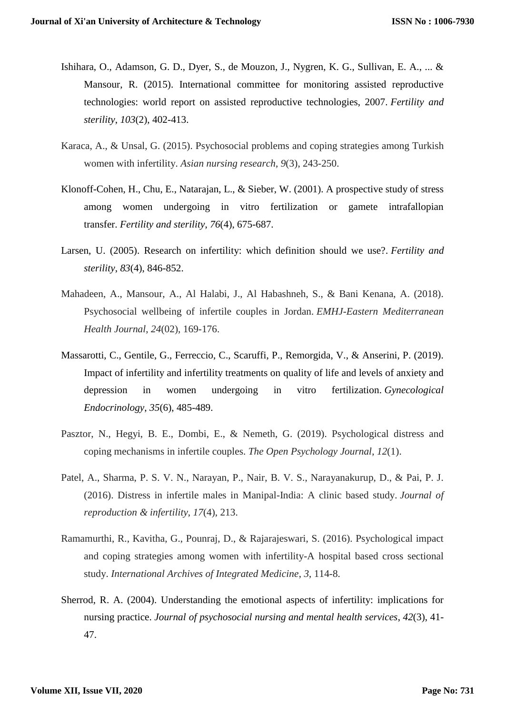- Ishihara, O., Adamson, G. D., Dyer, S., de Mouzon, J., Nygren, K. G., Sullivan, E. A., ... & Mansour, R. (2015). International committee for monitoring assisted reproductive technologies: world report on assisted reproductive technologies, 2007. *Fertility and sterility*, *103*(2), 402-413.
- Karaca, A., & Unsal, G. (2015). Psychosocial problems and coping strategies among Turkish women with infertility. *Asian nursing research*, *9*(3), 243-250.
- Klonoff-Cohen, H., Chu, E., Natarajan, L., & Sieber, W. (2001). A prospective study of stress among women undergoing in vitro fertilization or gamete intrafallopian transfer. *Fertility and sterility*, *76*(4), 675-687.
- Larsen, U. (2005). Research on infertility: which definition should we use?. *Fertility and sterility*, *83*(4), 846-852.
- Mahadeen, A., Mansour, A., Al Halabi, J., Al Habashneh, S., & Bani Kenana, A. (2018). Psychosocial wellbeing of infertile couples in Jordan. *EMHJ-Eastern Mediterranean Health Journal*, *24*(02), 169-176.
- Massarotti, C., Gentile, G., Ferreccio, C., Scaruffi, P., Remorgida, V., & Anserini, P. (2019). Impact of infertility and infertility treatments on quality of life and levels of anxiety and depression in women undergoing in vitro fertilization. *Gynecological Endocrinology*, *35*(6), 485-489.
- Pasztor, N., Hegyi, B. E., Dombi, E., & Nemeth, G. (2019). Psychological distress and coping mechanisms in infertile couples. *The Open Psychology Journal*, *12*(1).
- Patel, A., Sharma, P. S. V. N., Narayan, P., Nair, B. V. S., Narayanakurup, D., & Pai, P. J. (2016). Distress in infertile males in Manipal-India: A clinic based study. *Journal of reproduction & infertility*, *17*(4), 213.
- Ramamurthi, R., Kavitha, G., Pounraj, D., & Rajarajeswari, S. (2016). Psychological impact and coping strategies among women with infertility-A hospital based cross sectional study. *International Archives of Integrated Medicine*, *3*, 114-8.
- Sherrod, R. A. (2004). Understanding the emotional aspects of infertility: implications for nursing practice. *Journal of psychosocial nursing and mental health services*, *42*(3), 41- 47.